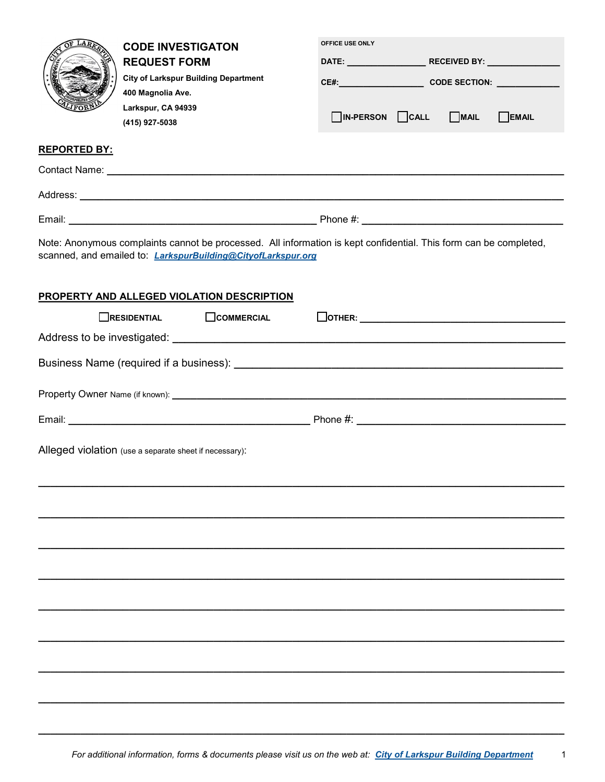| LAP                 | <b>CODE INVESTIGATON</b><br><b>REQUEST FORM</b><br><b>City of Larkspur Building Department</b>                                                                                    | OFFICE USE ONLY                          |                    |  |       |
|---------------------|-----------------------------------------------------------------------------------------------------------------------------------------------------------------------------------|------------------------------------------|--------------------|--|-------|
|                     |                                                                                                                                                                                   |                                          |                    |  |       |
|                     |                                                                                                                                                                                   |                                          | CE#: CODE SECTION: |  |       |
|                     | 400 Magnolia Ave.<br>Larkspur, CA 94939<br>(415) 927-5038                                                                                                                         | $\Box$ IN-PERSON $\Box$ CALL $\Box$ MAIL |                    |  | EMAIL |
| <b>REPORTED BY:</b> |                                                                                                                                                                                   |                                          |                    |  |       |
|                     |                                                                                                                                                                                   |                                          |                    |  |       |
|                     |                                                                                                                                                                                   |                                          |                    |  |       |
|                     |                                                                                                                                                                                   |                                          |                    |  |       |
|                     | Note: Anonymous complaints cannot be processed. All information is kept confidential. This form can be completed,<br>scanned, and emailed to: LarkspurBuilding@CityofLarkspur.org |                                          |                    |  |       |
|                     | PROPERTY AND ALLEGED VIOLATION DESCRIPTION                                                                                                                                        |                                          |                    |  |       |
|                     | $\Box$ RESIDENTIAL $\Box$ COMMERCIAL                                                                                                                                              | $\boxed{\text{OTHER:}}$                  |                    |  |       |
|                     |                                                                                                                                                                                   |                                          |                    |  |       |
|                     |                                                                                                                                                                                   |                                          |                    |  |       |
|                     |                                                                                                                                                                                   |                                          |                    |  |       |
|                     |                                                                                                                                                                                   |                                          |                    |  |       |
|                     | Alleged violation (use a separate sheet if necessary):                                                                                                                            |                                          |                    |  |       |
|                     |                                                                                                                                                                                   |                                          |                    |  |       |
|                     |                                                                                                                                                                                   |                                          |                    |  |       |
|                     |                                                                                                                                                                                   |                                          |                    |  |       |
|                     |                                                                                                                                                                                   |                                          |                    |  |       |
|                     |                                                                                                                                                                                   |                                          |                    |  |       |
|                     |                                                                                                                                                                                   |                                          |                    |  |       |
|                     |                                                                                                                                                                                   |                                          |                    |  |       |

**\_\_\_\_\_\_\_\_\_\_\_\_\_\_\_\_\_\_\_\_\_\_\_\_\_\_\_\_\_\_\_\_\_\_\_\_\_\_\_\_\_\_\_\_\_\_\_\_\_\_\_\_\_\_\_\_\_\_\_\_\_\_\_\_\_\_\_\_\_\_\_\_\_\_\_\_\_\_\_\_\_\_\_\_\_\_\_**